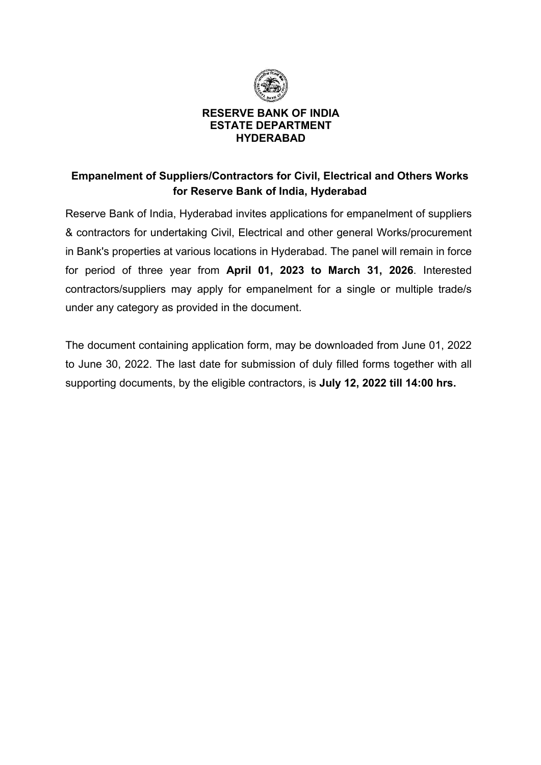

#### **RESERVE BANK OF INDIA ESTATE DEPARTMENT HYDERABAD**

# **Empanelment of Suppliers/Contractors for Civil, Electrical and Others Works for Reserve Bank of India, Hyderabad**

Reserve Bank of India, Hyderabad invites applications for empanelment of suppliers & contractors for undertaking Civil, Electrical and other general Works/procurement in Bank's properties at various locations in Hyderabad. The panel will remain in force for period of three year from **April 01, 2023 to March 31, 2026**. Interested contractors/suppliers may apply for empanelment for a single or multiple trade/s under any category as provided in the document.

The document containing application form, may be downloaded from June 01, 2022 to June 30, 2022. The last date for submission of duly filled forms together with all supporting documents, by the eligible contractors, is **July 12, 2022 till 14:00 hrs.**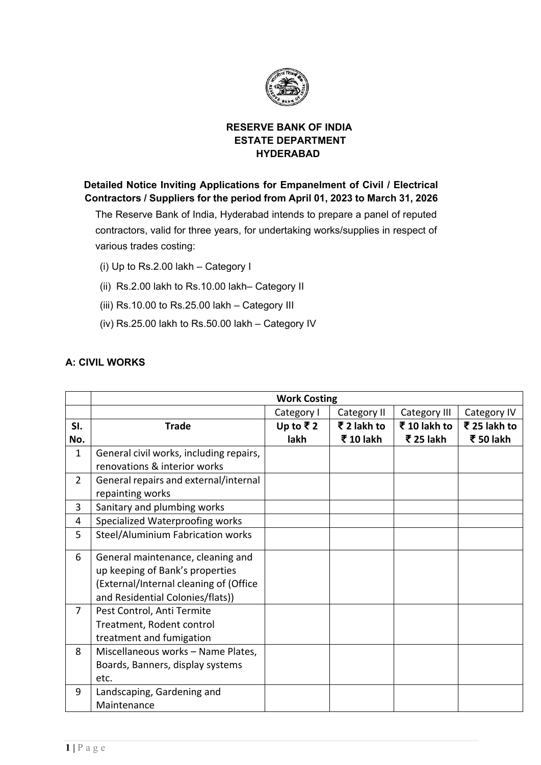

#### **RESERVE BANK OF INDIA ESTATE DEPARTMENT HYDERABAD**

 **Detailed Notice Inviting Applications for Empanelment of Civil / Electrical Contractors / Suppliers for the period from April 01, 2023 to March 31, 2026**

The Reserve Bank of India, Hyderabad intends to prepare a panel of reputed contractors, valid for three years, for undertaking works/supplies in respect of various trades costing:

- (i) Up to Rs.2.00 lakh Category I
- (ii) Rs.2.00 lakh to Rs.10.00 lakh– Category II
- (iii) Rs.10.00 to Rs.25.00 lakh Category III
- (iv) Rs.25.00 lakh to Rs.50.00 lakh Category IV

#### **A: CIVIL WORKS**

|                | <b>Work Costing</b>                     |            |             |              |              |
|----------------|-----------------------------------------|------------|-------------|--------------|--------------|
|                |                                         | Category I | Category II | Category III | Category IV  |
| SI.            | <b>Trade</b>                            | Up to ₹2   | ₹ 2 lakh to | ₹ 10 lakh to | ₹ 25 lakh to |
| No.            |                                         | lakh       | ₹ 10 lakh   | ₹ 25 lakh    | ₹ 50 lakh    |
| 1              | General civil works, including repairs, |            |             |              |              |
|                | renovations & interior works            |            |             |              |              |
| $\overline{2}$ | General repairs and external/internal   |            |             |              |              |
|                | repainting works                        |            |             |              |              |
| 3              | Sanitary and plumbing works             |            |             |              |              |
| 4              | Specialized Waterproofing works         |            |             |              |              |
| 5              | Steel/Aluminium Fabrication works       |            |             |              |              |
| 6              | General maintenance, cleaning and       |            |             |              |              |
|                | up keeping of Bank's properties         |            |             |              |              |
|                | (External/Internal cleaning of (Office  |            |             |              |              |
|                | and Residential Colonies/flats))        |            |             |              |              |
| 7              | Pest Control, Anti Termite              |            |             |              |              |
|                | Treatment, Rodent control               |            |             |              |              |
|                | treatment and fumigation                |            |             |              |              |
| 8              | Miscellaneous works - Name Plates,      |            |             |              |              |
|                | Boards, Banners, display systems        |            |             |              |              |
|                | etc.                                    |            |             |              |              |
| 9              | Landscaping, Gardening and              |            |             |              |              |
|                | Maintenance                             |            |             |              |              |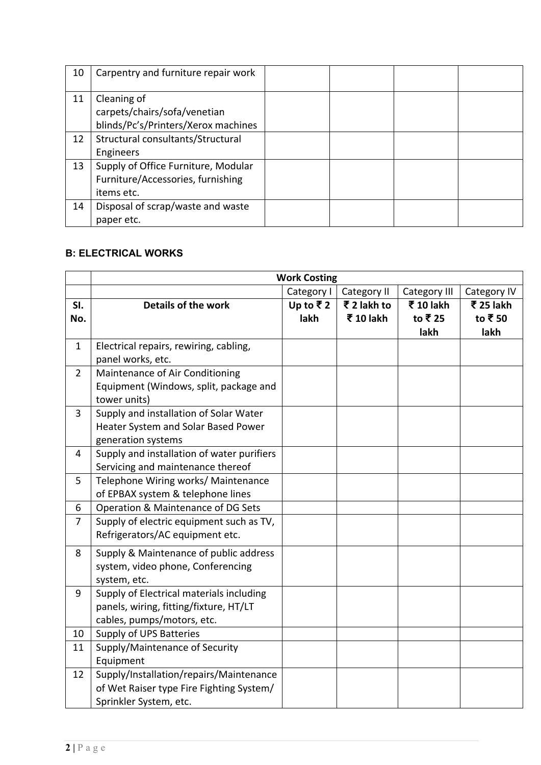| 10 | Carpentry and furniture repair work                                                    |  |  |
|----|----------------------------------------------------------------------------------------|--|--|
| 11 | Cleaning of<br>carpets/chairs/sofa/venetian<br>blinds/Pc's/Printers/Xerox machines     |  |  |
| 12 | Structural consultants/Structural<br>Engineers                                         |  |  |
| 13 | Supply of Office Furniture, Modular<br>Furniture/Accessories, furnishing<br>items etc. |  |  |
| 14 | Disposal of scrap/waste and waste<br>paper etc.                                        |  |  |

# **B: ELECTRICAL WORKS**

|                | <b>Work Costing</b>                                                                                              |                                |                          |                              |                                                             |
|----------------|------------------------------------------------------------------------------------------------------------------|--------------------------------|--------------------------|------------------------------|-------------------------------------------------------------|
|                |                                                                                                                  | Category I                     | Category II              | Category III                 | Category IV                                                 |
| SI.<br>No.     | <b>Details of the work</b>                                                                                       | Up to $\overline{z}$ 2<br>lakh | ₹ 2 lakh to<br>₹ 10 lakh | ₹ 10 lakh<br>to ₹ 25<br>lakh | $\overline{\mathbf{\mathcal{F}}}$ 25 lakh<br>to ₹50<br>lakh |
| $\mathbf{1}$   | Electrical repairs, rewiring, cabling,<br>panel works, etc.                                                      |                                |                          |                              |                                                             |
| $\overline{2}$ | Maintenance of Air Conditioning<br>Equipment (Windows, split, package and<br>tower units)                        |                                |                          |                              |                                                             |
| 3              | Supply and installation of Solar Water<br>Heater System and Solar Based Power<br>generation systems              |                                |                          |                              |                                                             |
| 4              | Supply and installation of water purifiers<br>Servicing and maintenance thereof                                  |                                |                          |                              |                                                             |
| 5              | Telephone Wiring works/ Maintenance<br>of EPBAX system & telephone lines                                         |                                |                          |                              |                                                             |
| 6              | Operation & Maintenance of DG Sets                                                                               |                                |                          |                              |                                                             |
| $\overline{7}$ | Supply of electric equipment such as TV,<br>Refrigerators/AC equipment etc.                                      |                                |                          |                              |                                                             |
| 8              | Supply & Maintenance of public address<br>system, video phone, Conferencing<br>system, etc.                      |                                |                          |                              |                                                             |
| 9              | Supply of Electrical materials including<br>panels, wiring, fitting/fixture, HT/LT<br>cables, pumps/motors, etc. |                                |                          |                              |                                                             |
| 10             | Supply of UPS Batteries                                                                                          |                                |                          |                              |                                                             |
| 11             | Supply/Maintenance of Security<br>Equipment                                                                      |                                |                          |                              |                                                             |
| 12             | Supply/Installation/repairs/Maintenance<br>of Wet Raiser type Fire Fighting System/<br>Sprinkler System, etc.    |                                |                          |                              |                                                             |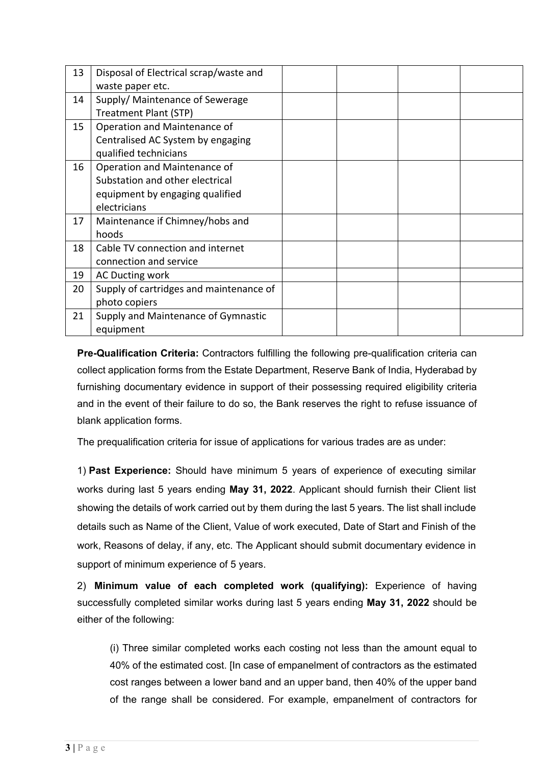| 13 | Disposal of Electrical scrap/waste and  |  |  |
|----|-----------------------------------------|--|--|
|    | waste paper etc.                        |  |  |
| 14 | Supply/ Maintenance of Sewerage         |  |  |
|    | Treatment Plant (STP)                   |  |  |
| 15 | Operation and Maintenance of            |  |  |
|    | Centralised AC System by engaging       |  |  |
|    | qualified technicians                   |  |  |
| 16 | Operation and Maintenance of            |  |  |
|    | Substation and other electrical         |  |  |
|    | equipment by engaging qualified         |  |  |
|    | electricians                            |  |  |
| 17 | Maintenance if Chimney/hobs and         |  |  |
|    | hoods                                   |  |  |
| 18 | Cable TV connection and internet        |  |  |
|    | connection and service                  |  |  |
| 19 | AC Ducting work                         |  |  |
| 20 | Supply of cartridges and maintenance of |  |  |
|    | photo copiers                           |  |  |
| 21 | Supply and Maintenance of Gymnastic     |  |  |
|    | equipment                               |  |  |

**Pre-Qualification Criteria:** Contractors fulfilling the following pre-qualification criteria can collect application forms from the Estate Department, Reserve Bank of India, Hyderabad by furnishing documentary evidence in support of their possessing required eligibility criteria and in the event of their failure to do so, the Bank reserves the right to refuse issuance of blank application forms.

The prequalification criteria for issue of applications for various trades are as under:

1) **Past Experience:** Should have minimum 5 years of experience of executing similar works during last 5 years ending **May 31, 2022**. Applicant should furnish their Client list showing the details of work carried out by them during the last 5 years. The list shall include details such as Name of the Client, Value of work executed, Date of Start and Finish of the work, Reasons of delay, if any, etc. The Applicant should submit documentary evidence in support of minimum experience of 5 years.

2) **Minimum value of each completed work (qualifying):** Experience of having successfully completed similar works during last 5 years ending **May 31, 2022** should be either of the following:

(i) Three similar completed works each costing not less than the amount equal to 40% of the estimated cost. [In case of empanelment of contractors as the estimated cost ranges between a lower band and an upper band, then 40% of the upper band of the range shall be considered. For example, empanelment of contractors for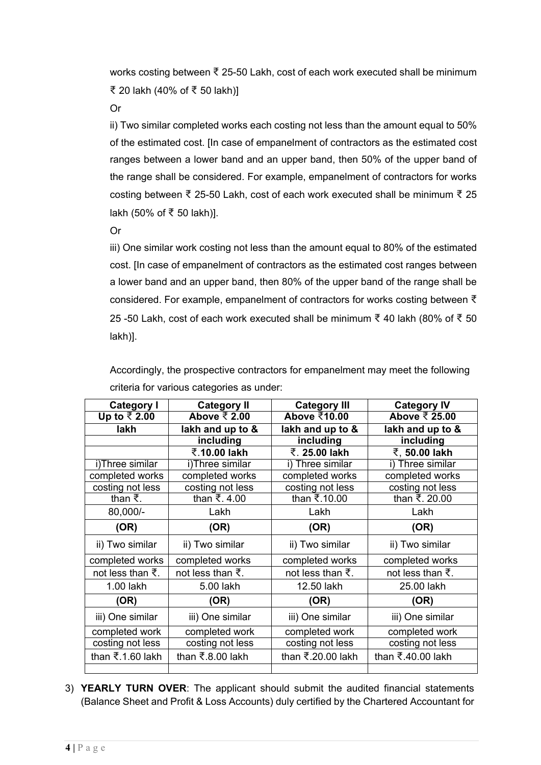works costing between ₹ 25-50 Lakh, cost of each work executed shall be minimum ₹ 20 lakh (40% of ₹ 50 lakh)]

Or

ii) Two similar completed works each costing not less than the amount equal to 50% of the estimated cost. [In case of empanelment of contractors as the estimated cost ranges between a lower band and an upper band, then 50% of the upper band of the range shall be considered. For example, empanelment of contractors for works costing between ₹ 25-50 Lakh, cost of each work executed shall be minimum ₹ 25 lakh (50% of ₹ 50 lakh)].

Or

iii) One similar work costing not less than the amount equal to 80% of the estimated cost. [In case of empanelment of contractors as the estimated cost ranges between a lower band and an upper band, then 80% of the upper band of the range shall be considered. For example, empanelment of contractors for works costing between ₹ 25 -50 Lakh, cost of each work executed shall be minimum ₹ 40 lakh (80% of ₹ 50 lakh)].

| <b>Category I</b>             | <b>Category II</b>        | <b>Category III</b> | <b>Category IV</b> |
|-------------------------------|---------------------------|---------------------|--------------------|
| Up to ₹2.00                   | Above $\overline{z}$ 2.00 | Above ₹10.00        | Above ₹ 25.00      |
| lakh                          | lakh and up to &          | lakh and up to &    | lakh and up to &   |
|                               | including                 | including           | including          |
|                               | ₹.10.00 lakh              | ₹. 25.00 lakh       | ₹, 50.00 lakh      |
| i)Three similar               | i)Three similar           | i) Three similar    | i) Three similar   |
| completed works               | completed works           | completed works     | completed works    |
| costing not less              | costing not less          | costing not less    | costing not less   |
| than $\bar{z}$ .              | than ₹.4.00               | than ₹.10.00        | than ₹. 20.00      |
| 80,000/-                      | Lakh                      | Lakh                | Lakh               |
| (OR)                          | (OR)                      | (OR)                | (OR)               |
| ii) Two similar               | ii) Two similar           | ii) Two similar     | ii) Two similar    |
| completed works               | completed works           | completed works     | completed works    |
| not less than $\bar{z}$ .     | not less than ₹.          | not less than ₹.    | not less than ₹.   |
| 1.00 lakh                     | 5.00 lakh                 | 12.50 lakh          | 25.00 lakh         |
| (OR)                          | (OR)                      | (OR)                | (OR)               |
| iii) One similar              | iii) One similar          | iii) One similar    | iii) One similar   |
| completed work                | completed work            | completed work      | completed work     |
| costing not less              | costing not less          | costing not less    | costing not less   |
| than $\overline{5}.1.60$ lakh | than ₹.8.00 lakh          | than ₹.20.00 lakh   | than ₹.40.00 lakh  |
|                               |                           |                     |                    |

Accordingly, the prospective contractors for empanelment may meet the following criteria for various categories as under:

3) **YEARLY TURN OVER**: The applicant should submit the audited financial statements (Balance Sheet and Profit & Loss Accounts) duly certified by the Chartered Accountant for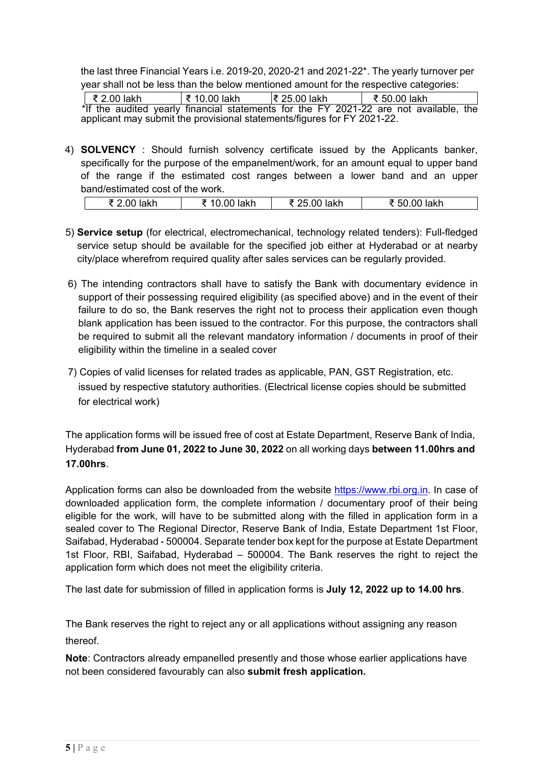the last three Financial Years i.e. 2019-20, 2020-21 and 2021-22\*. The yearly turnover per year shall not be less than the below mentioned amount for the respective categories:

₹ 2.00 lakh ₹ 10.00 lakh ₹ 25.00 lakh ₹ 50.00 lakh \*If the audited yearly financial statements for the FY 2021-22 are not available, the applicant may submit the provisional statements/figures for FY 2021-22.

4) **SOLVENCY** : Should furnish solvency certificate issued by the Applicants banker, specifically for the purpose of the empanelment/work, for an amount equal to upper band of the range if the estimated cost ranges between a lower band and an upper band/estimated cost of the work.

|  |  | $\mathbf{r}$<br><u></u> | lakh | ا ادات<br>Tanii | lakh |  |
|--|--|-------------------------|------|-----------------|------|--|
|--|--|-------------------------|------|-----------------|------|--|

- 5) **Service setup** (for electrical, electromechanical, technology related tenders): Full-fledged service setup should be available for the specified job either at Hyderabad or at nearby city/place wherefrom required quality after sales services can be regularly provided.
- 6) The intending contractors shall have to satisfy the Bank with documentary evidence in support of their possessing required eligibility (as specified above) and in the event of their failure to do so, the Bank reserves the right not to process their application even though blank application has been issued to the contractor. For this purpose, the contractors shall be required to submit all the relevant mandatory information / documents in proof of their eligibility within the timeline in a sealed cover
- 7) Copies of valid licenses for related trades as applicable, PAN, GST Registration, etc. issued by respective statutory authorities. (Electrical license copies should be submitted for electrical work)

The application forms will be issued free of cost at Estate Department, Reserve Bank of India, Hyderabad **from June 01, 2022 to June 30, 2022** on all working days **between 11.00hrs and 17.00hrs**.

Application forms can also be downloaded from the website [https://www.rbi.org.in.](https://www.rbi.org.in/) In case of downloaded application form, the complete information / documentary proof of their being eligible for the work, will have to be submitted along with the filled in application form in a sealed cover to The Regional Director, Reserve Bank of India, Estate Department 1st Floor, Saifabad, Hyderabad - 500004. Separate tender box kept for the purpose at Estate Department 1st Floor, RBI, Saifabad, Hyderabad – 500004. The Bank reserves the right to reject the application form which does not meet the eligibility criteria.

The last date for submission of filled in application forms is **July 12, 2022 up to 14.00 hrs**.

The Bank reserves the right to reject any or all applications without assigning any reason thereof.

**Note**: Contractors already empanelled presently and those whose earlier applications have not been considered favourably can also **submit fresh application.**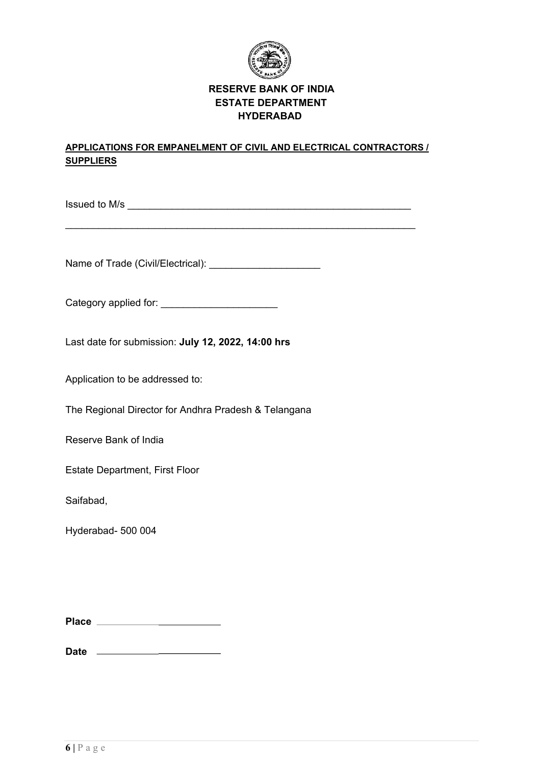

### **RESERVE BANK OF INDIA ESTATE DEPARTMENT HYDERABAD**

#### **APPLICATIONS FOR EMPANELMENT OF CIVIL AND ELECTRICAL CONTRACTORS / SUPPLIERS**

 $\_$  , and the contribution of the contribution of  $\mathcal{L}_\mathcal{A}$  , and the contribution of  $\mathcal{L}_\mathcal{A}$ 

 $Is \leq \text{I} \leq \text{II}$  issued to M/s

Name of Trade (Civil/Electrical): \_\_\_\_\_\_\_\_\_\_\_\_\_\_\_\_\_\_\_\_

Category applied for: \_\_\_\_\_\_\_\_\_\_\_\_\_\_\_\_\_\_\_\_\_

Last date for submission: **July 12, 2022, 14:00 hrs**

Application to be addressed to:

The Regional Director for Andhra Pradesh & Telangana

Reserve Bank of India

Estate Department, First Floor

Saifabad,

Hyderabad- 500 004

| <b>Place</b> |  |
|--------------|--|
|              |  |

**Date**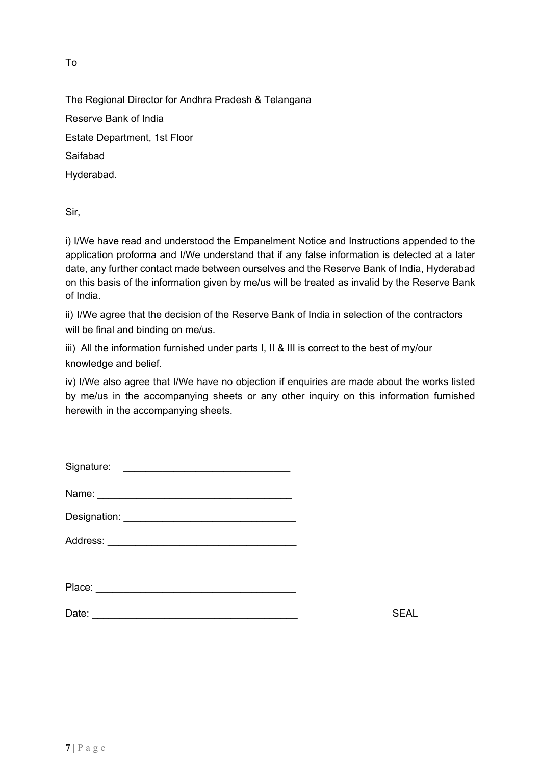To

The Regional Director for Andhra Pradesh & Telangana Reserve Bank of India Estate Department, 1st Floor Saifabad Hyderabad.

Sir,

i) I/We have read and understood the Empanelment Notice and Instructions appended to the application proforma and I/We understand that if any false information is detected at a later date, any further contact made between ourselves and the Reserve Bank of India, Hyderabad on this basis of the information given by me/us will be treated as invalid by the Reserve Bank of India.

ii) I/We agree that the decision of the Reserve Bank of India in selection of the contractors will be final and binding on me/us.

iii) All the information furnished under parts I, II & III is correct to the best of my/our knowledge and belief.

iv) I/We also agree that I/We have no objection if enquiries are made about the works listed by me/us in the accompanying sheets or any other inquiry on this information furnished herewith in the accompanying sheets.

| Signature: |             |
|------------|-------------|
| Name:      |             |
|            |             |
|            |             |
|            |             |
|            |             |
| Date:      | <b>SEAL</b> |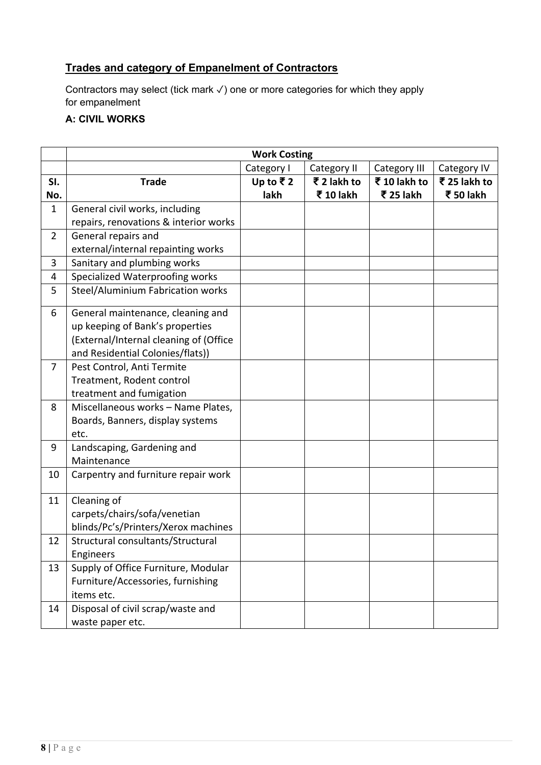# **Trades and category of Empanelment of Contractors**

Contractors may select (tick mark ✓) one or more categories for which they apply for empanelment

# **A: CIVIL WORKS**

|                | <b>Work Costing</b>                    |            |             |              |              |  |
|----------------|----------------------------------------|------------|-------------|--------------|--------------|--|
|                |                                        | Category I | Category II | Category III | Category IV  |  |
| SI.            | <b>Trade</b>                           | Up to ₹2   | ₹ 2 lakh to | ₹10 lakh to  | ₹ 25 lakh to |  |
| No.            |                                        | lakh       | ₹ 10 lakh   | ₹ 25 lakh    | ₹ 50 lakh    |  |
| $\mathbf{1}$   | General civil works, including         |            |             |              |              |  |
|                | repairs, renovations & interior works  |            |             |              |              |  |
| $\overline{2}$ | General repairs and                    |            |             |              |              |  |
|                | external/internal repainting works     |            |             |              |              |  |
| 3              | Sanitary and plumbing works            |            |             |              |              |  |
| 4              | Specialized Waterproofing works        |            |             |              |              |  |
| 5              | Steel/Aluminium Fabrication works      |            |             |              |              |  |
| 6              | General maintenance, cleaning and      |            |             |              |              |  |
|                | up keeping of Bank's properties        |            |             |              |              |  |
|                | (External/Internal cleaning of (Office |            |             |              |              |  |
|                | and Residential Colonies/flats))       |            |             |              |              |  |
| $\overline{7}$ | Pest Control, Anti Termite             |            |             |              |              |  |
|                | Treatment, Rodent control              |            |             |              |              |  |
|                | treatment and fumigation               |            |             |              |              |  |
| 8              | Miscellaneous works - Name Plates,     |            |             |              |              |  |
|                | Boards, Banners, display systems       |            |             |              |              |  |
|                | etc.                                   |            |             |              |              |  |
| 9              | Landscaping, Gardening and             |            |             |              |              |  |
|                | Maintenance                            |            |             |              |              |  |
| 10             | Carpentry and furniture repair work    |            |             |              |              |  |
| 11             | Cleaning of                            |            |             |              |              |  |
|                | carpets/chairs/sofa/venetian           |            |             |              |              |  |
|                | blinds/Pc's/Printers/Xerox machines    |            |             |              |              |  |
| 12             | Structural consultants/Structural      |            |             |              |              |  |
|                | Engineers                              |            |             |              |              |  |
| 13             | Supply of Office Furniture, Modular    |            |             |              |              |  |
|                | Furniture/Accessories, furnishing      |            |             |              |              |  |
|                | items etc.                             |            |             |              |              |  |
| 14             | Disposal of civil scrap/waste and      |            |             |              |              |  |
|                | waste paper etc.                       |            |             |              |              |  |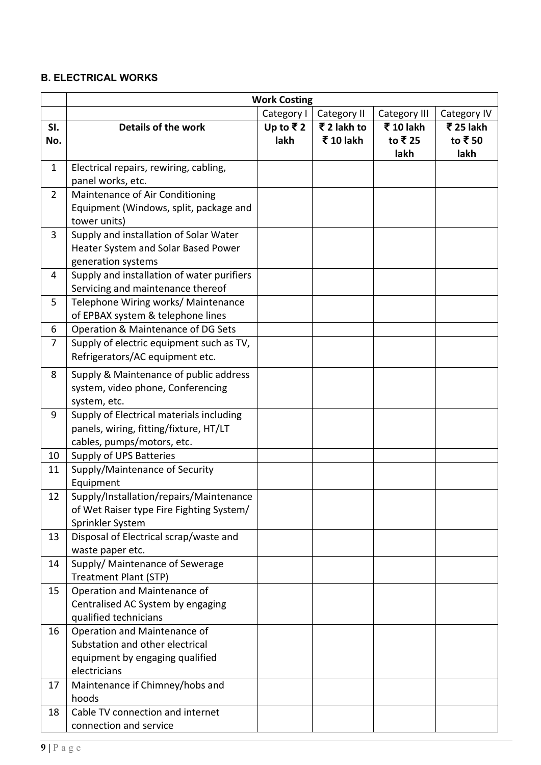# **B. ELECTRICAL WORKS**

|                | <b>Work Costing</b>                                                                                                |                  |                          |                             |                             |
|----------------|--------------------------------------------------------------------------------------------------------------------|------------------|--------------------------|-----------------------------|-----------------------------|
|                |                                                                                                                    | Category I       | Category II              | Category III                | Category IV                 |
| SI.<br>No.     | Details of the work                                                                                                | Up to ₹2<br>lakh | ₹ 2 lakh to<br>₹ 10 lakh | ₹ 10 lakh<br>to ₹25<br>lakh | ₹ 25 lakh<br>to ₹50<br>lakh |
| 1              | Electrical repairs, rewiring, cabling,<br>panel works, etc.                                                        |                  |                          |                             |                             |
| $\overline{2}$ | Maintenance of Air Conditioning<br>Equipment (Windows, split, package and<br>tower units)                          |                  |                          |                             |                             |
| 3              | Supply and installation of Solar Water<br>Heater System and Solar Based Power<br>generation systems                |                  |                          |                             |                             |
| 4              | Supply and installation of water purifiers<br>Servicing and maintenance thereof                                    |                  |                          |                             |                             |
| 5              | Telephone Wiring works/ Maintenance<br>of EPBAX system & telephone lines                                           |                  |                          |                             |                             |
| 6              | Operation & Maintenance of DG Sets                                                                                 |                  |                          |                             |                             |
| 7              | Supply of electric equipment such as TV,<br>Refrigerators/AC equipment etc.                                        |                  |                          |                             |                             |
| 8              | Supply & Maintenance of public address<br>system, video phone, Conferencing<br>system, etc.                        |                  |                          |                             |                             |
| 9              | Supply of Electrical materials including<br>panels, wiring, fitting/fixture, HT/LT<br>cables, pumps/motors, etc.   |                  |                          |                             |                             |
| 10             | Supply of UPS Batteries                                                                                            |                  |                          |                             |                             |
| 11             | Supply/Maintenance of Security<br>Equipment                                                                        |                  |                          |                             |                             |
| 12             | Supply/Installation/repairs/Maintenance<br>of Wet Raiser type Fire Fighting System/<br>Sprinkler System            |                  |                          |                             |                             |
| 13             | Disposal of Electrical scrap/waste and<br>waste paper etc.                                                         |                  |                          |                             |                             |
| 14             | Supply/ Maintenance of Sewerage<br>Treatment Plant (STP)                                                           |                  |                          |                             |                             |
| 15             | Operation and Maintenance of<br>Centralised AC System by engaging<br>qualified technicians                         |                  |                          |                             |                             |
| 16             | Operation and Maintenance of<br>Substation and other electrical<br>equipment by engaging qualified<br>electricians |                  |                          |                             |                             |
| 17             | Maintenance if Chimney/hobs and<br>hoods                                                                           |                  |                          |                             |                             |
| 18             | Cable TV connection and internet<br>connection and service                                                         |                  |                          |                             |                             |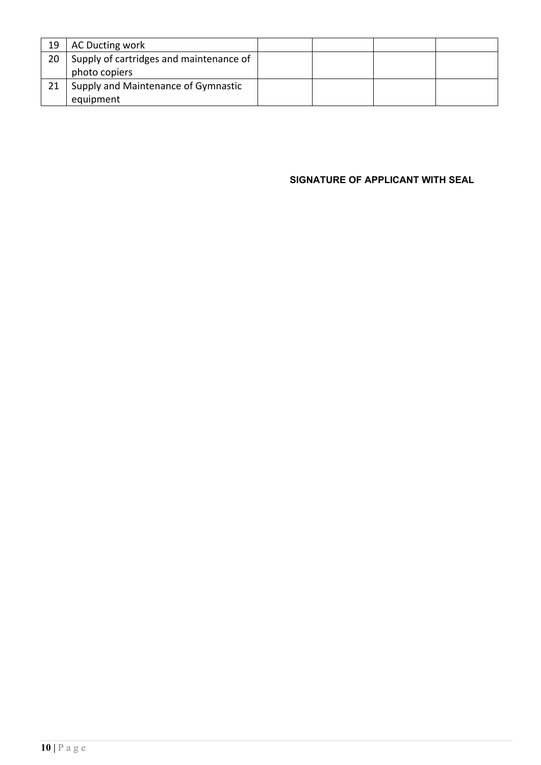| 19 | AC Ducting work                         |  |  |
|----|-----------------------------------------|--|--|
| 20 | Supply of cartridges and maintenance of |  |  |
|    | photo copiers                           |  |  |
|    | Supply and Maintenance of Gymnastic     |  |  |
|    | equipment                               |  |  |

**SIGNATURE OF APPLICANT WITH SEAL**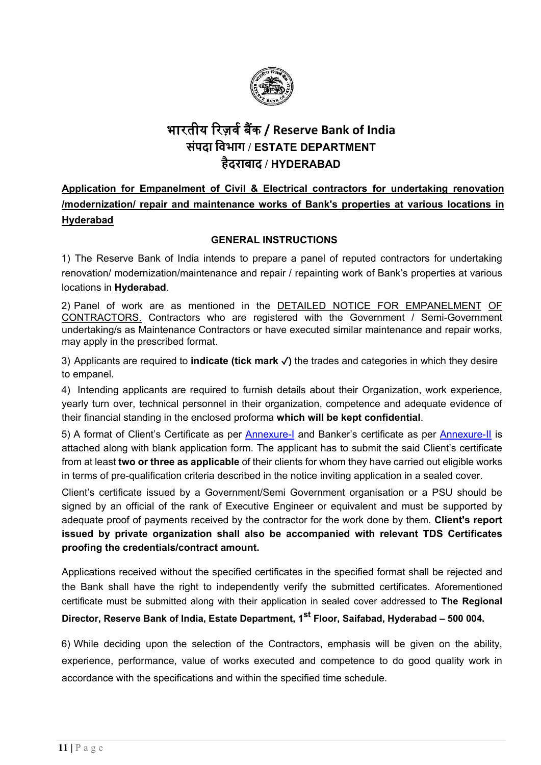

# भारतीय �रज़वर् ब�क **/ Reserve Bank of India संपदा िवभाग** / **ESTATE DEPARTMENT हैदराबाद** / **HYDERABAD**

**Application for Empanelment of Civil & Electrical contractors for undertaking renovation /modernization/ repair and maintenance works of Bank's properties at various locations in Hyderabad**

#### **GENERAL INSTRUCTIONS**

1) The Reserve Bank of India intends to prepare a panel of reputed contractors for undertaking renovation/ modernization/maintenance and repair / repainting work of Bank's properties at various locations in **Hyderabad**.

2) Panel of work are as mentioned in the DETAILED NOTICE FOR EMPANELMENT OF CONTRACTORS. Contractors who are registered with the Government / Semi-Government undertaking/s as Maintenance Contractors or have executed similar maintenance and repair works, may apply in the prescribed format.

3) Applicants are required to **indicate (tick mark** ✓) the trades and categories in which they desire to empanel.

4) Intending applicants are required to furnish details about their Organization, work experience, yearly turn over, technical personnel in their organization, competence and adequate evidence of their financial standing in the enclosed proforma **which will be kept confidential**.

5) A format of Client's Certificate as per [Annexure-I](#page-18-0) and Banker's certificate as per [Annexure-II](#page-20-0) is attached along with blank application form. The applicant has to submit the said Client's certificate from at least **two or three as applicable** of their clients for whom they have carried out eligible works in terms of pre-qualification criteria described in the notice inviting application in a sealed cover.

Client's certificate issued by a Government/Semi Government organisation or a PSU should be signed by an official of the rank of Executive Engineer or equivalent and must be supported by adequate proof of payments received by the contractor for the work done by them. **Client's report issued by private organization shall also be accompanied with relevant TDS Certificates proofing the credentials/contract amount.**

Applications received without the specified certificates in the specified format shall be rejected and the Bank shall have the right to independently verify the submitted certificates. Aforementioned certificate must be submitted along with their application in sealed cover addressed to **The Regional** 

# **Director, Reserve Bank of India, Estate Department, 1st Floor, Saifabad, Hyderabad – 500 004.**

6) While deciding upon the selection of the Contractors, emphasis will be given on the ability, experience, performance, value of works executed and competence to do good quality work in accordance with the specifications and within the specified time schedule.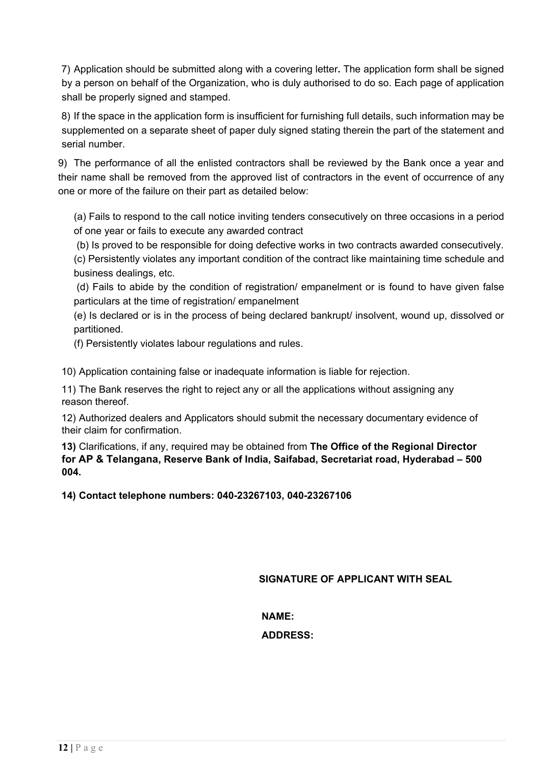7) Application should be submitted along with a covering letter**.** The application form shall be signed by a person on behalf of the Organization, who is duly authorised to do so. Each page of application shall be properly signed and stamped.

8) If the space in the application form is insufficient for furnishing full details, such information may be supplemented on a separate sheet of paper duly signed stating therein the part of the statement and serial number.

9) The performance of all the enlisted contractors shall be reviewed by the Bank once a year and their name shall be removed from the approved list of contractors in the event of occurrence of any one or more of the failure on their part as detailed below:

(a) Fails to respond to the call notice inviting tenders consecutively on three occasions in a period of one year or fails to execute any awarded contract

(b) Is proved to be responsible for doing defective works in two contracts awarded consecutively.

(c) Persistently violates any important condition of the contract like maintaining time schedule and business dealings, etc.

(d) Fails to abide by the condition of registration/ empanelment or is found to have given false particulars at the time of registration/ empanelment

(e) Is declared or is in the process of being declared bankrupt/ insolvent, wound up, dissolved or partitioned.

(f) Persistently violates labour regulations and rules.

10) Application containing false or inadequate information is liable for rejection.

11) The Bank reserves the right to reject any or all the applications without assigning any reason thereof.

12) Authorized dealers and Applicators should submit the necessary documentary evidence of their claim for confirmation.

**13)** Clarifications, if any, required may be obtained from **The Office of the Regional Director for AP & Telangana, Reserve Bank of India, Saifabad, Secretariat road, Hyderabad – 500 004.**

**14) Contact telephone numbers: 040-23267103, 040-23267106**

**SIGNATURE OF APPLICANT WITH SEAL**

**NAME:**

**ADDRESS:**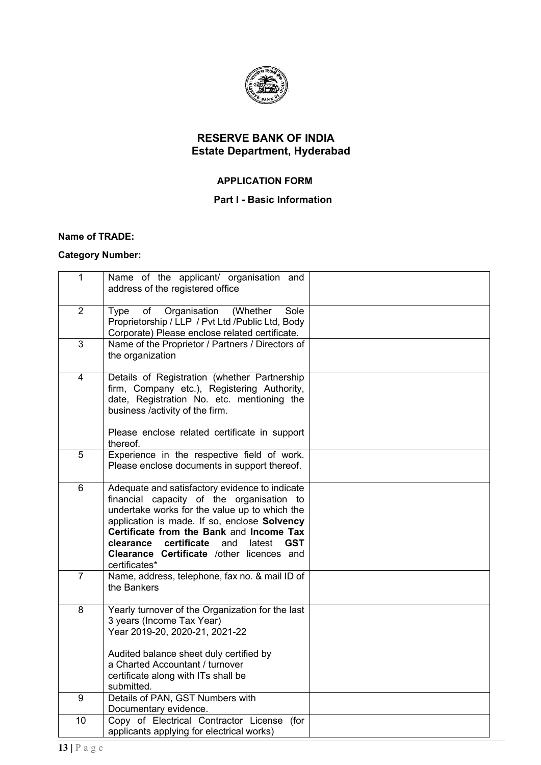

# **RESERVE BANK OF INDIA Estate Department, Hyderabad**

#### **APPLICATION FORM**

#### **Part I - Basic Information**

#### **Name of TRADE:**

## **Category Number:**

| $\mathbf{1}$             | Name of the applicant/ organisation and<br>address of the registered office                                                                                                                                                                                                                                                                                    |  |
|--------------------------|----------------------------------------------------------------------------------------------------------------------------------------------------------------------------------------------------------------------------------------------------------------------------------------------------------------------------------------------------------------|--|
| $\overline{2}$           | of<br>Organisation<br>(Whether<br>Sole<br><b>Type</b><br>Proprietorship / LLP / Pvt Ltd / Public Ltd, Body<br>Corporate) Please enclose related certificate.                                                                                                                                                                                                   |  |
| $\overline{3}$           | Name of the Proprietor / Partners / Directors of<br>the organization                                                                                                                                                                                                                                                                                           |  |
| $\overline{\mathcal{A}}$ | Details of Registration (whether Partnership<br>firm, Company etc.), Registering Authority,<br>date, Registration No. etc. mentioning the<br>business /activity of the firm.                                                                                                                                                                                   |  |
|                          | Please enclose related certificate in support<br>thereof.                                                                                                                                                                                                                                                                                                      |  |
| 5                        | Experience in the respective field of work.<br>Please enclose documents in support thereof.                                                                                                                                                                                                                                                                    |  |
| $6\phantom{1}$           | Adequate and satisfactory evidence to indicate<br>financial capacity of the organisation to<br>undertake works for the value up to which the<br>application is made. If so, enclose Solvency<br>Certificate from the Bank and Income Tax<br>clearance certificate<br>and<br>latest<br><b>GST</b><br>Clearance Certificate /other licences and<br>certificates* |  |
| $\overline{7}$           | Name, address, telephone, fax no. & mail ID of<br>the Bankers                                                                                                                                                                                                                                                                                                  |  |
| 8                        | Yearly turnover of the Organization for the last<br>3 years (Income Tax Year)<br>Year 2019-20, 2020-21, 2021-22                                                                                                                                                                                                                                                |  |
|                          | Audited balance sheet duly certified by<br>a Charted Accountant / turnover<br>certificate along with ITs shall be<br>submitted.                                                                                                                                                                                                                                |  |
| 9                        | Details of PAN, GST Numbers with<br>Documentary evidence.                                                                                                                                                                                                                                                                                                      |  |
| 10                       | Copy of Electrical Contractor License (for<br>applicants applying for electrical works)                                                                                                                                                                                                                                                                        |  |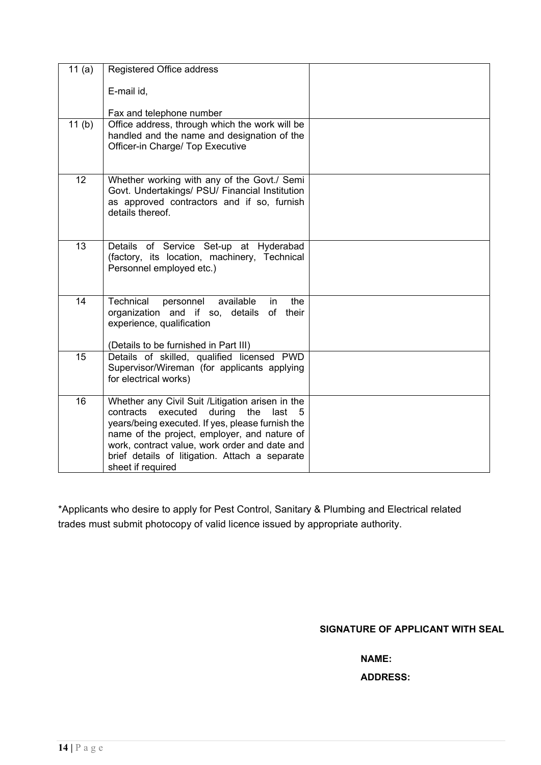| 11 $(a)$ | Registered Office address                                                                                                                                                                                                                                                                                                            |  |
|----------|--------------------------------------------------------------------------------------------------------------------------------------------------------------------------------------------------------------------------------------------------------------------------------------------------------------------------------------|--|
|          | E-mail id,                                                                                                                                                                                                                                                                                                                           |  |
|          | Fax and telephone number                                                                                                                                                                                                                                                                                                             |  |
| 11(b)    | Office address, through which the work will be<br>handled and the name and designation of the<br>Officer-in Charge/ Top Executive                                                                                                                                                                                                    |  |
| 12       | Whether working with any of the Govt./ Semi<br>Govt. Undertakings/ PSU/ Financial Institution<br>as approved contractors and if so, furnish<br>details thereof.                                                                                                                                                                      |  |
| 13       | Details of Service Set-up at Hyderabad<br>(factory, its location, machinery, Technical<br>Personnel employed etc.)                                                                                                                                                                                                                   |  |
| 14       | Technical<br>available<br>personnel<br>the<br>in<br>organization and if so, details of<br>their<br>experience, qualification<br>(Details to be furnished in Part III)                                                                                                                                                                |  |
| 15       | Details of skilled, qualified licensed PWD<br>Supervisor/Wireman (for applicants applying<br>for electrical works)                                                                                                                                                                                                                   |  |
| 16       | Whether any Civil Suit / Litigation arisen in the<br>during<br>contracts<br>executed<br>the<br>last<br>5<br>years/being executed. If yes, please furnish the<br>name of the project, employer, and nature of<br>work, contract value, work order and date and<br>brief details of litigation. Attach a separate<br>sheet if required |  |

\*Applicants who desire to apply for Pest Control, Sanitary & Plumbing and Electrical related trades must submit photocopy of valid licence issued by appropriate authority.

**SIGNATURE OF APPLICANT WITH SEAL**

**NAME:**

**ADDRESS:**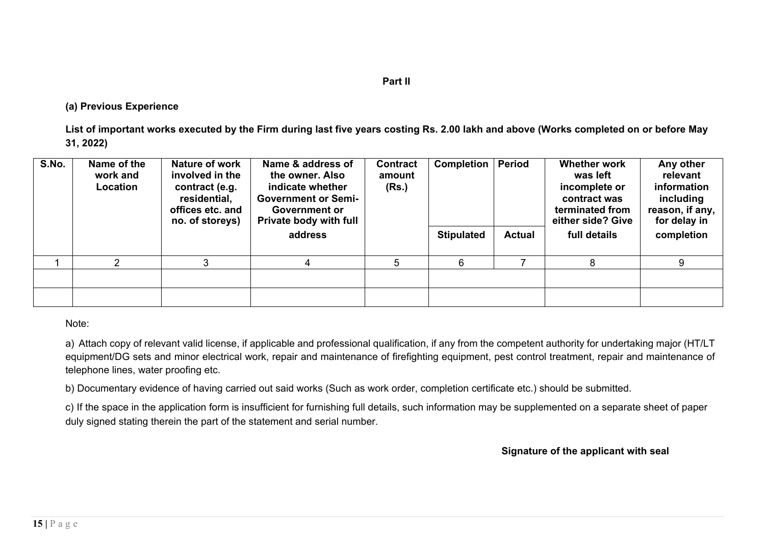#### **Part II**

#### **(a) Previous Experience**

**List of important works executed by the Firm during last five years costing Rs. 2.00 lakh and above (Works completed on or before May 31, 2022)**

| S.No. | Name of the<br>work and<br>Location | Nature of work<br>involved in the<br>contract (e.g.<br>residential,<br>offices etc. and<br>no. of storeys) | Name & address of<br>the owner. Also<br>indicate whether<br><b>Government or Semi-</b><br><b>Government or</b><br><b>Private body with full</b> | <b>Contract</b><br>amount<br>(Rs.) | <b>Completion   Period</b> |               | <b>Whether work</b><br>was left<br>incomplete or<br>contract was<br>terminated from<br>either side? Give | Any other<br>relevant<br>information<br>including<br>reason, if any,<br>for delay in |
|-------|-------------------------------------|------------------------------------------------------------------------------------------------------------|-------------------------------------------------------------------------------------------------------------------------------------------------|------------------------------------|----------------------------|---------------|----------------------------------------------------------------------------------------------------------|--------------------------------------------------------------------------------------|
|       |                                     |                                                                                                            | address                                                                                                                                         |                                    | <b>Stipulated</b>          | <b>Actual</b> | full details                                                                                             | completion                                                                           |
|       | ∩                                   | 3                                                                                                          | 4                                                                                                                                               |                                    | 6                          |               | 8                                                                                                        | 9                                                                                    |
|       |                                     |                                                                                                            |                                                                                                                                                 |                                    |                            |               |                                                                                                          |                                                                                      |
|       |                                     |                                                                                                            |                                                                                                                                                 |                                    |                            |               |                                                                                                          |                                                                                      |

Note:

a) Attach copy of relevant valid license, if applicable and professional qualification, if any from the competent authority for undertaking major (HT/LT equipment/DG sets and minor electrical work, repair and maintenance of firefighting equipment, pest control treatment, repair and maintenance of telephone lines, water proofing etc.

b) Documentary evidence of having carried out said works (Such as work order, completion certificate etc.) should be submitted.

c) If the space in the application form is insufficient for furnishing full details, such information may be supplemented on a separate sheet of paper duly signed stating therein the part of the statement and serial number.

**Signature of the applicant with seal**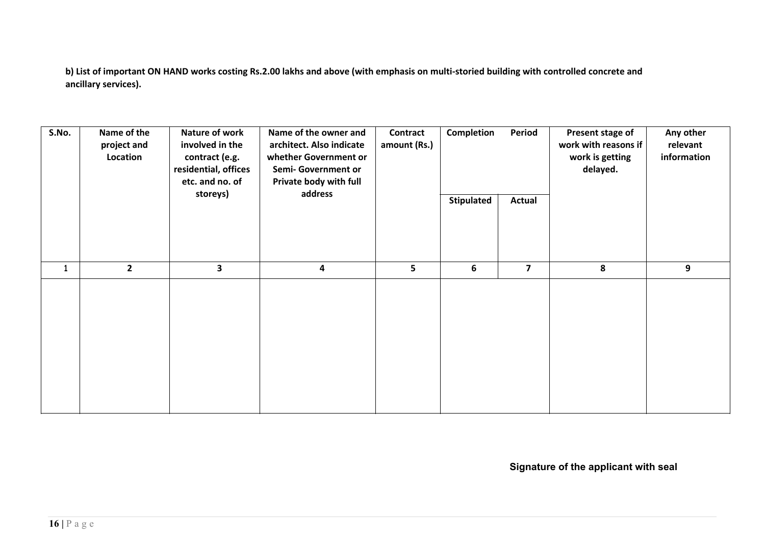**b) List of important ON HAND works costing Rs.2.00 lakhs and above (with emphasis on multi-storied building with controlled concrete and ancillary services).**

| S.No.        | Name of the<br>project and<br>Location | Nature of work<br>involved in the<br>contract (e.g.<br>residential, offices<br>etc. and no. of<br>storeys) | Name of the owner and<br>architect. Also indicate<br>whether Government or<br>Semi-Government or<br>Private body with full<br>address | <b>Contract</b><br>amount (Rs.) | Completion<br><b>Stipulated</b> | Period<br><b>Actual</b> | Present stage of<br>work with reasons if<br>work is getting<br>delayed. | Any other<br>relevant<br>information |
|--------------|----------------------------------------|------------------------------------------------------------------------------------------------------------|---------------------------------------------------------------------------------------------------------------------------------------|---------------------------------|---------------------------------|-------------------------|-------------------------------------------------------------------------|--------------------------------------|
| $\mathbf{1}$ | $\overline{2}$                         | 3                                                                                                          | $\overline{\mathbf{r}}$                                                                                                               | 5                               | 6                               | $\overline{\mathbf{z}}$ | 8                                                                       | 9                                    |
|              |                                        |                                                                                                            |                                                                                                                                       |                                 |                                 |                         |                                                                         |                                      |

**Signature of the applicant with seal**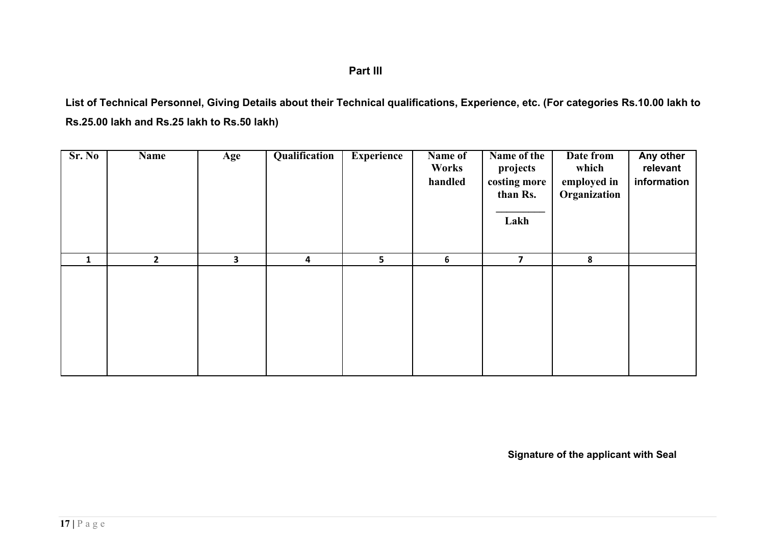# **Part III**

**List of Technical Personnel, Giving Details about their Technical qualifications, Experience, etc. (For categories Rs.10.00 lakh to Rs.25.00 lakh and Rs.25 lakh to Rs.50 lakh)**

| Sr. No       | Name         | Age                     | Qualification | <b>Experience</b> | Name of<br>Works<br>handled | Name of the<br>projects<br>costing more<br>than Rs.<br>Lakh | Date from<br>which<br>employed in<br>Organization | Any other<br>relevant<br>information |
|--------------|--------------|-------------------------|---------------|-------------------|-----------------------------|-------------------------------------------------------------|---------------------------------------------------|--------------------------------------|
| $\mathbf{1}$ | $\mathbf{2}$ | $\overline{\mathbf{3}}$ | 4             | $5\overline{)}$   | 6                           | $\overline{\mathbf{z}}$                                     | 8                                                 |                                      |
|              |              |                         |               |                   |                             |                                                             |                                                   |                                      |

**Signature of the applicant with Seal**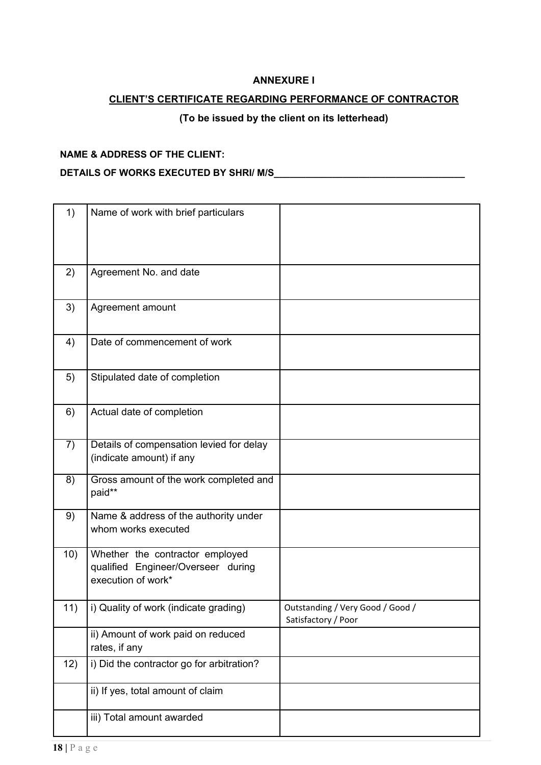#### **ANNEXURE I**

### <span id="page-18-0"></span>**CLIENT'S CERTIFICATE REGARDING PERFORMANCE OF CONTRACTOR**

# **(To be issued by the client on its letterhead)**

#### **NAME & ADDRESS OF THE CLIENT:**

#### **DETAILS OF WORKS EXECUTED BY SHRI/ M/S\_\_\_\_\_\_\_\_\_\_\_\_\_\_\_\_\_\_\_\_\_\_\_\_\_\_\_\_\_\_\_\_\_\_\_\_**

| 1)  | Name of work with brief particulars                                                         |                                                         |
|-----|---------------------------------------------------------------------------------------------|---------------------------------------------------------|
| 2)  | Agreement No. and date                                                                      |                                                         |
| 3)  | Agreement amount                                                                            |                                                         |
| 4)  | Date of commencement of work                                                                |                                                         |
| 5)  | Stipulated date of completion                                                               |                                                         |
| 6)  | Actual date of completion                                                                   |                                                         |
| 7)  | Details of compensation levied for delay<br>(indicate amount) if any                        |                                                         |
| 8)  | Gross amount of the work completed and<br>paid**                                            |                                                         |
| 9)  | Name & address of the authority under<br>whom works executed                                |                                                         |
| 10) | Whether the contractor employed<br>qualified Engineer/Overseer during<br>execution of work* |                                                         |
| 11) | i) Quality of work (indicate grading)                                                       | Outstanding / Very Good / Good /<br>Satisfactory / Poor |
|     | ii) Amount of work paid on reduced<br>rates, if any                                         |                                                         |
| 12) | i) Did the contractor go for arbitration?                                                   |                                                         |
|     | ii) If yes, total amount of claim                                                           |                                                         |
|     | iii) Total amount awarded                                                                   |                                                         |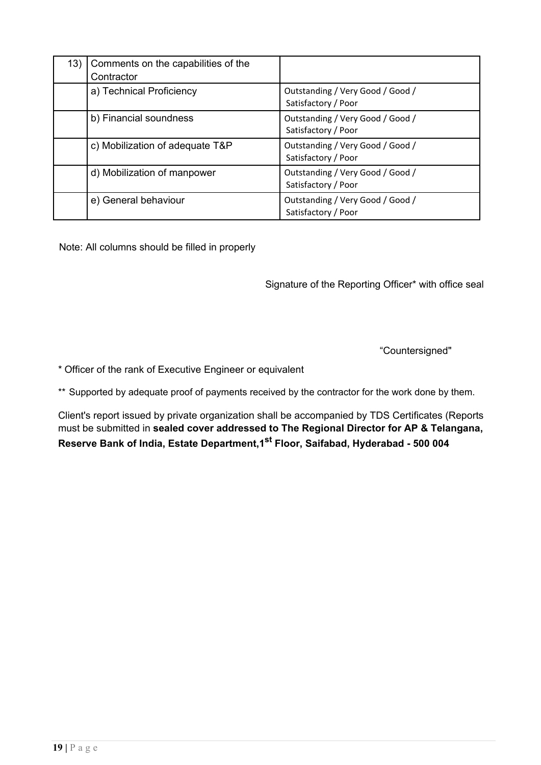| 13) | Comments on the capabilities of the<br>Contractor |                                                         |
|-----|---------------------------------------------------|---------------------------------------------------------|
|     | a) Technical Proficiency                          | Outstanding / Very Good / Good /<br>Satisfactory / Poor |
|     | b) Financial soundness                            | Outstanding / Very Good / Good /<br>Satisfactory / Poor |
|     | c) Mobilization of adequate T&P                   | Outstanding / Very Good / Good /<br>Satisfactory / Poor |
|     | d) Mobilization of manpower                       | Outstanding / Very Good / Good /<br>Satisfactory / Poor |
|     | e) General behaviour                              | Outstanding / Very Good / Good /<br>Satisfactory / Poor |

Note: All columns should be filled in properly

Signature of the Reporting Officer\* with office seal

"Countersigned"

\* Officer of the rank of Executive Engineer or equivalent

\*\* Supported by adequate proof of payments received by the contractor for the work done by them.

Client's report issued by private organization shall be accompanied by TDS Certificates (Reports must be submitted in **sealed cover addressed to The Regional Director for AP & Telangana, Reserve Bank of India, Estate Department,1st Floor, Saifabad, Hyderabad - 500 004**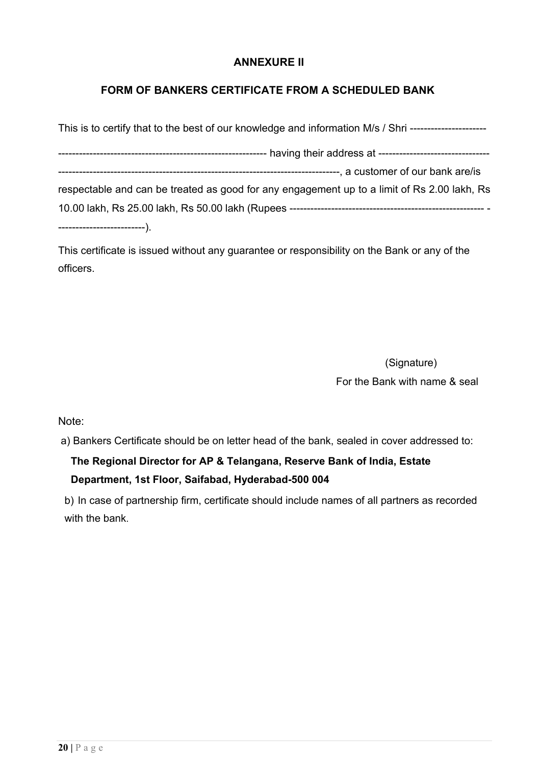### **ANNEXURE II**

# <span id="page-20-0"></span>**FORM OF BANKERS CERTIFICATE FROM A SCHEDULED BANK**

| This is to certify that to the best of our knowledge and information M/s / Shri --------------------- |
|-------------------------------------------------------------------------------------------------------|
|                                                                                                       |
|                                                                                                       |
| respectable and can be treated as good for any engagement up to a limit of Rs 2.00 lakh, Rs           |
|                                                                                                       |
| ------------------------).                                                                            |

This certificate is issued without any guarantee or responsibility on the Bank or any of the officers.

> (Signature) For the Bank with name & seal

Note:

a) Bankers Certificate should be on letter head of the bank, sealed in cover addressed to:

# **The Regional Director for AP & Telangana, Reserve Bank of India, Estate Department, 1st Floor, Saifabad, Hyderabad-500 004**

b) In case of partnership firm, certificate should include names of all partners as recorded with the bank.